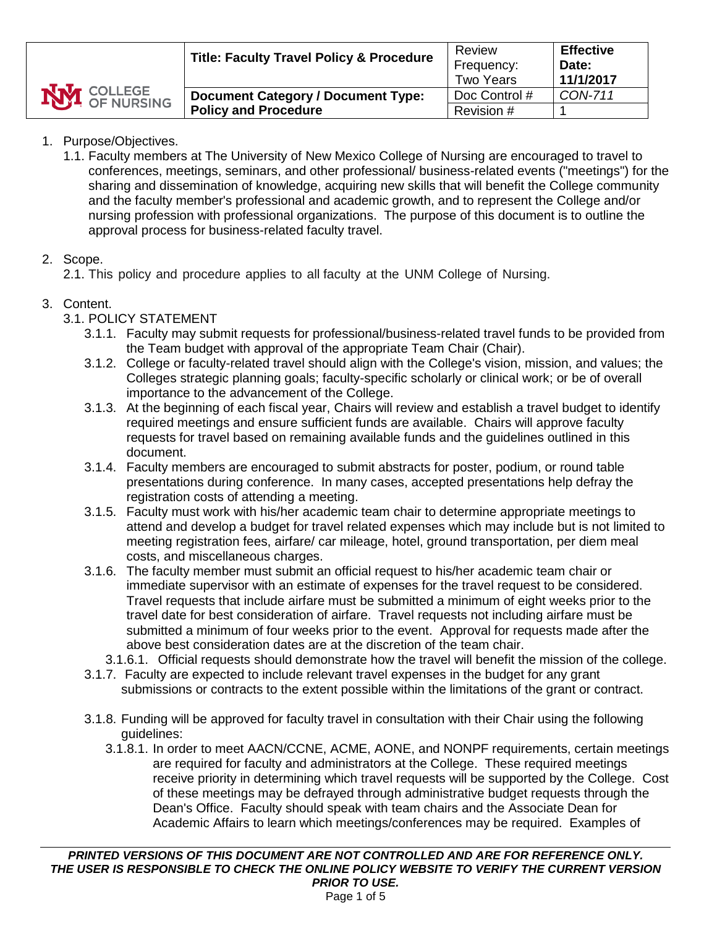

# 1. Purpose/Objectives.

1.1. Faculty members at The University of New Mexico College of Nursing are encouraged to travel to conferences, meetings, seminars, and other professional/ business-related events ("meetings") for the sharing and dissemination of knowledge, acquiring new skills that will benefit the College community and the faculty member's professional and academic growth, and to represent the College and/or nursing profession with professional organizations. The purpose of this document is to outline the approval process for business-related faculty travel.

### 2. Scope.

2.1. This policy and procedure applies to all faculty at the UNM College of Nursing.

# 3. Content.

# 3.1. POLICY STATEMENT

- 3.1.1. Faculty may submit requests for professional/business-related travel funds to be provided from the Team budget with approval of the appropriate Team Chair (Chair).
- 3.1.2. College or faculty-related travel should align with the College's vision, mission, and values; the Colleges strategic planning goals; faculty-specific scholarly or clinical work; or be of overall importance to the advancement of the College.
- 3.1.3. At the beginning of each fiscal year, Chairs will review and establish a travel budget to identify required meetings and ensure sufficient funds are available. Chairs will approve faculty requests for travel based on remaining available funds and the guidelines outlined in this document.
- 3.1.4. Faculty members are encouraged to submit abstracts for poster, podium, or round table presentations during conference. In many cases, accepted presentations help defray the registration costs of attending a meeting.
- 3.1.5. Faculty must work with his/her academic team chair to determine appropriate meetings to attend and develop a budget for travel related expenses which may include but is not limited to meeting registration fees, airfare/ car mileage, hotel, ground transportation, per diem meal costs, and miscellaneous charges.
- 3.1.6. The faculty member must submit an official request to his/her academic team chair or immediate supervisor with an estimate of expenses for the travel request to be considered. Travel requests that include airfare must be submitted a minimum of eight weeks prior to the travel date for best consideration of airfare. Travel requests not including airfare must be submitted a minimum of four weeks prior to the event. Approval for requests made after the above best consideration dates are at the discretion of the team chair.
	- 3.1.6.1. Official requests should demonstrate how the travel will benefit the mission of the college.
- 3.1.7. Faculty are expected to include relevant travel expenses in the budget for any grant submissions or contracts to the extent possible within the limitations of the grant or contract.
- 3.1.8. Funding will be approved for faculty travel in consultation with their Chair using the following guidelines:
	- 3.1.8.1. In order to meet AACN/CCNE, ACME, AONE, and NONPF requirements, certain meetings are required for faculty and administrators at the College. These required meetings receive priority in determining which travel requests will be supported by the College. Cost of these meetings may be defrayed through administrative budget requests through the Dean's Office. Faculty should speak with team chairs and the Associate Dean for Academic Affairs to learn which meetings/conferences may be required. Examples of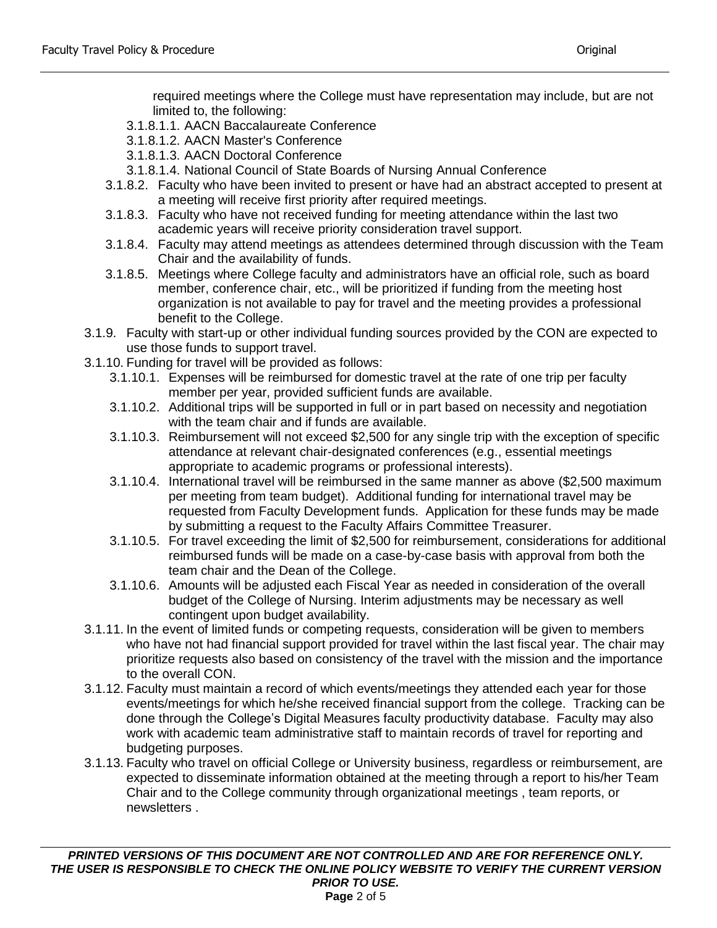required meetings where the College must have representation may include, but are not limited to, the following:

- 3.1.8.1.1. AACN Baccalaureate Conference
- 3.1.8.1.2. AACN Master's Conference
- 3.1.8.1.3. AACN Doctoral Conference
- 3.1.8.1.4. National Council of State Boards of Nursing Annual Conference
- 3.1.8.2. Faculty who have been invited to present or have had an abstract accepted to present at a meeting will receive first priority after required meetings.
- 3.1.8.3. Faculty who have not received funding for meeting attendance within the last two academic years will receive priority consideration travel support.
- 3.1.8.4. Faculty may attend meetings as attendees determined through discussion with the Team Chair and the availability of funds.
- 3.1.8.5. Meetings where College faculty and administrators have an official role, such as board member, conference chair, etc., will be prioritized if funding from the meeting host organization is not available to pay for travel and the meeting provides a professional benefit to the College.
- 3.1.9. Faculty with start-up or other individual funding sources provided by the CON are expected to use those funds to support travel.
- 3.1.10. Funding for travel will be provided as follows:
	- 3.1.10.1. Expenses will be reimbursed for domestic travel at the rate of one trip per faculty member per year, provided sufficient funds are available.
	- 3.1.10.2. Additional trips will be supported in full or in part based on necessity and negotiation with the team chair and if funds are available.
	- 3.1.10.3. Reimbursement will not exceed \$2,500 for any single trip with the exception of specific attendance at relevant chair-designated conferences (e.g., essential meetings appropriate to academic programs or professional interests).
	- 3.1.10.4. International travel will be reimbursed in the same manner as above (\$2,500 maximum per meeting from team budget). Additional funding for international travel may be requested from Faculty Development funds. Application for these funds may be made by submitting a request to the Faculty Affairs Committee Treasurer.
	- 3.1.10.5. For travel exceeding the limit of \$2,500 for reimbursement, considerations for additional reimbursed funds will be made on a case-by-case basis with approval from both the team chair and the Dean of the College.
	- 3.1.10.6. Amounts will be adjusted each Fiscal Year as needed in consideration of the overall budget of the College of Nursing. Interim adjustments may be necessary as well contingent upon budget availability.
- 3.1.11. In the event of limited funds or competing requests, consideration will be given to members who have not had financial support provided for travel within the last fiscal year. The chair may prioritize requests also based on consistency of the travel with the mission and the importance to the overall CON.
- 3.1.12. Faculty must maintain a record of which events/meetings they attended each year for those events/meetings for which he/she received financial support from the college. Tracking can be done through the College's Digital Measures faculty productivity database. Faculty may also work with academic team administrative staff to maintain records of travel for reporting and budgeting purposes.
- 3.1.13. Faculty who travel on official College or University business, regardless or reimbursement, are expected to disseminate information obtained at the meeting through a report to his/her Team Chair and to the College community through organizational meetings , team reports, or newsletters .

*PRINTED VERSIONS OF THIS DOCUMENT ARE NOT CONTROLLED AND ARE FOR REFERENCE ONLY. THE USER IS RESPONSIBLE TO CHECK THE ONLINE POLICY WEBSITE TO VERIFY THE CURRENT VERSION PRIOR TO USE.* **Page** 2 of 5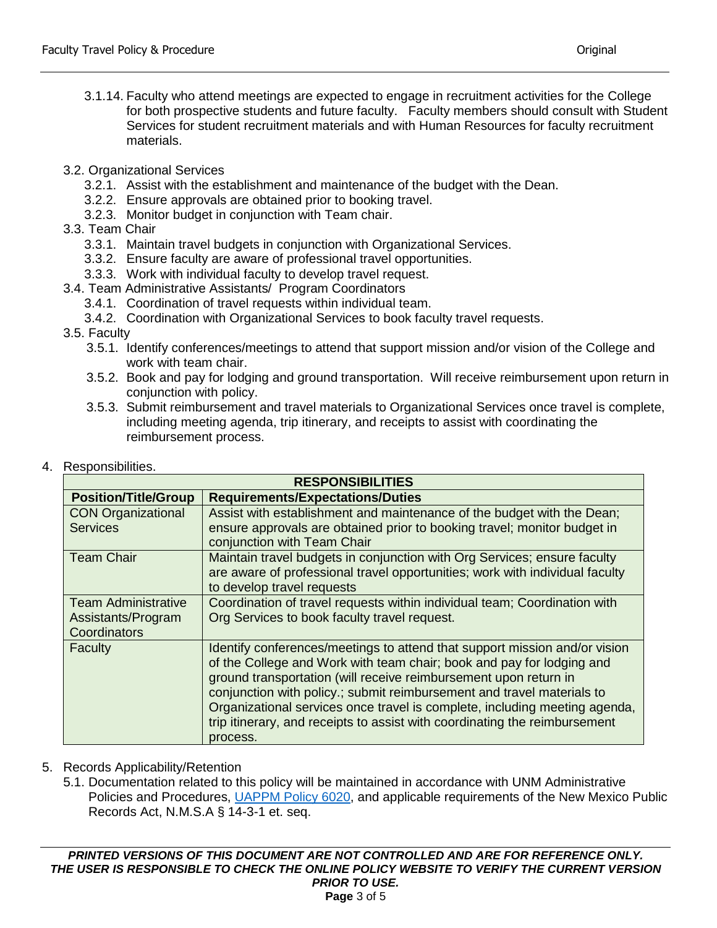- 3.1.14. Faculty who attend meetings are expected to engage in recruitment activities for the College for both prospective students and future faculty. Faculty members should consult with Student Services for student recruitment materials and with Human Resources for faculty recruitment materials.
- 3.2. Organizational Services
	- 3.2.1. Assist with the establishment and maintenance of the budget with the Dean.
	- 3.2.2. Ensure approvals are obtained prior to booking travel.
	- 3.2.3. Monitor budget in conjunction with Team chair.
- 3.3. Team Chair
	- 3.3.1. Maintain travel budgets in conjunction with Organizational Services.
	- 3.3.2. Ensure faculty are aware of professional travel opportunities.
	- 3.3.3. Work with individual faculty to develop travel request.
- 3.4. Team Administrative Assistants/ Program Coordinators
	- 3.4.1. Coordination of travel requests within individual team.
	- 3.4.2. Coordination with Organizational Services to book faculty travel requests.
- 3.5. Faculty
	- 3.5.1. Identify conferences/meetings to attend that support mission and/or vision of the College and work with team chair.
	- 3.5.2. Book and pay for lodging and ground transportation. Will receive reimbursement upon return in conjunction with policy.
	- 3.5.3. Submit reimbursement and travel materials to Organizational Services once travel is complete, including meeting agenda, trip itinerary, and receipts to assist with coordinating the reimbursement process.

| <b>RESPONSIBILITIES</b>     |                                                                                                                                                     |  |  |  |
|-----------------------------|-----------------------------------------------------------------------------------------------------------------------------------------------------|--|--|--|
| <b>Position/Title/Group</b> | <b>Requirements/Expectations/Duties</b>                                                                                                             |  |  |  |
| <b>CON Organizational</b>   | Assist with establishment and maintenance of the budget with the Dean;                                                                              |  |  |  |
| <b>Services</b>             | ensure approvals are obtained prior to booking travel; monitor budget in                                                                            |  |  |  |
|                             | conjunction with Team Chair                                                                                                                         |  |  |  |
| <b>Team Chair</b>           | Maintain travel budgets in conjunction with Org Services; ensure faculty                                                                            |  |  |  |
|                             | are aware of professional travel opportunities; work with individual faculty                                                                        |  |  |  |
|                             | to develop travel requests                                                                                                                          |  |  |  |
| <b>Team Administrative</b>  | Coordination of travel requests within individual team; Coordination with                                                                           |  |  |  |
| Assistants/Program          | Org Services to book faculty travel request.                                                                                                        |  |  |  |
| Coordinators                |                                                                                                                                                     |  |  |  |
| <b>Faculty</b>              | Identify conferences/meetings to attend that support mission and/or vision<br>of the College and Work with team chair; book and pay for lodging and |  |  |  |
|                             | ground transportation (will receive reimbursement upon return in<br>conjunction with policy .; submit reimbursement and travel materials to         |  |  |  |
|                             | Organizational services once travel is complete, including meeting agenda,                                                                          |  |  |  |
|                             | trip itinerary, and receipts to assist with coordinating the reimbursement<br>process.                                                              |  |  |  |
|                             |                                                                                                                                                     |  |  |  |

4. Responsibilities.

- 5. Records Applicability/Retention
	- 5.1. Documentation related to this policy will be maintained in accordance with UNM Administrative Policies and Procedures, [UAPPM Policy 6020,](https://policy.unm.edu/university-policies/6000/6020.html) and applicable requirements of the New Mexico Public Records Act, N.M.S.A § 14-3-1 et. seq.

*PRINTED VERSIONS OF THIS DOCUMENT ARE NOT CONTROLLED AND ARE FOR REFERENCE ONLY. THE USER IS RESPONSIBLE TO CHECK THE ONLINE POLICY WEBSITE TO VERIFY THE CURRENT VERSION PRIOR TO USE.* **Page** 3 of 5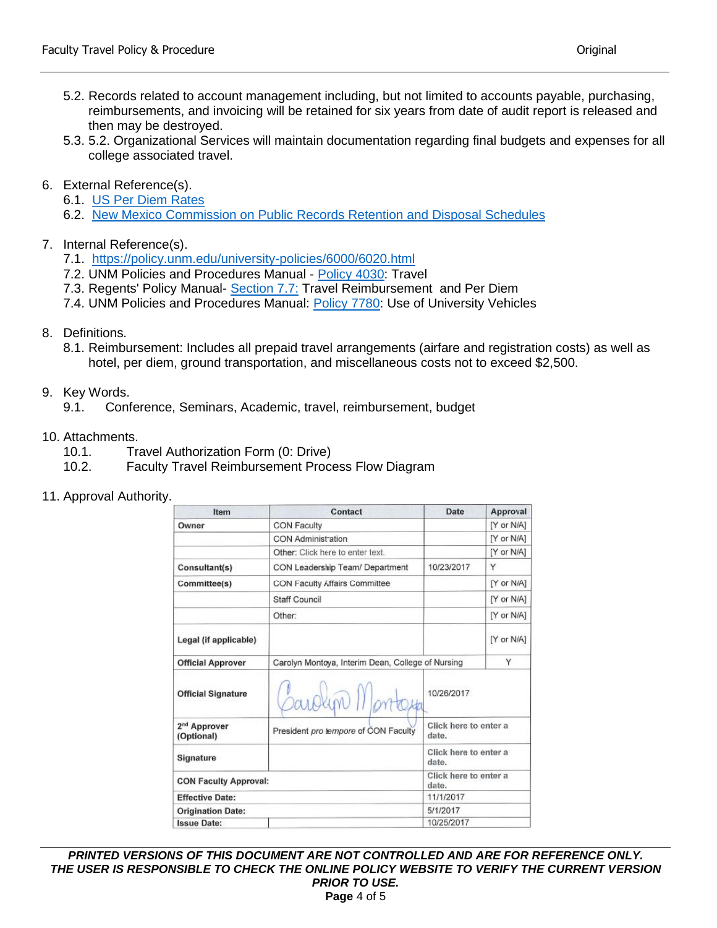- 5.2. Records related to account management including, but not limited to accounts payable, purchasing, reimbursements, and invoicing will be retained for six years from date of audit report is released and then may be destroyed.
- 5.3. 5.2. Organizational Services will maintain documentation regarding final budgets and expenses for all college associated travel.
- 6. External Reference(s).
	- 6.1. [US Per Diem Rates](https://www.gsa.gov/travel/plan-book/per-diem-rates)
	- 6.2. [New Mexico Commission on Public Records Retention and Disposal Schedules](http://164.64.110.134/nmac/T01C021)
- 7. Internal Reference(s).
	- 7.1. <https://policy.unm.edu/university-policies/6000/6020.html>
	- 7.2. UNM Policies and Procedures Manual [Policy 4030:](https://policy.unm.edu/university-policies/4000/4030.html) Travel
	- 7.3. Regents' Policy Manual- [Section 7.7:](https://policy.unm.edu/regents-policies/section-7/7-7.html) Travel Reimbursement and Per Diem
	- 7.4. UNM Policies and Procedures Manual: [Policy 7780:](https://policy.unm.edu/university-policies/7000/7780.html) Use of University Vehicles
- 8. Definitions.
	- 8.1. Reimbursement: Includes all prepaid travel arrangements (airfare and registration costs) as well as hotel, per diem, ground transportation, and miscellaneous costs not to exceed \$2,500.
- 9. Key Words.
	- 9.1. Conference, Seminars, Academic, travel, reimbursement, budget
- 10. Attachments.
	- 10.1. Travel Authorization Form (0: Drive)
	- 10.2. Faculty Travel Reimbursement Process Flow Diagram
- 11. Approval Authority.

| Item                                   | <b>Contact</b>                                         | Date                           | Approval   |  |
|----------------------------------------|--------------------------------------------------------|--------------------------------|------------|--|
| Owner                                  | <b>CON Faculty</b>                                     |                                | [Y or N/A] |  |
|                                        | <b>CON Administration</b>                              |                                | [Y or N/A] |  |
|                                        | Other: Click here to enter text.                       |                                | [Y or N/A] |  |
| Consultant(s)                          | CON Leadership Team/ Department                        | 10/23/2017                     | Y          |  |
| Committee(s)                           | CON Faculty Affairs Committee                          |                                | [Y or N/A] |  |
|                                        | Staff Council                                          |                                | [Y or N/A] |  |
|                                        | Other:                                                 |                                | [Y or N/A] |  |
| Legal (if applicable)                  |                                                        |                                | [Y or N/A] |  |
| <b>Official Approver</b>               | Y<br>Carolyn Montoya, Interim Dean, College of Nursing |                                |            |  |
| <b>Official Signature</b>              | Carolyn Montaya                                        | 10/26/2017                     |            |  |
| 2 <sup>nd</sup> Approver<br>(Optional) | President pro tempore of CON Faculty                   | Click here to enter a<br>date. |            |  |
| Signature                              |                                                        | Click here to enter a<br>date. |            |  |
| <b>CON Faculty Approval:</b>           | Click here to enter a<br>date.                         |                                |            |  |
| <b>Effective Date:</b>                 | 11/1/2017                                              |                                |            |  |
| <b>Origination Date:</b>               | 5/1/2017                                               |                                |            |  |
| <b>Issue Date:</b>                     |                                                        | 10/25/2017                     |            |  |

*PRINTED VERSIONS OF THIS DOCUMENT ARE NOT CONTROLLED AND ARE FOR REFERENCE ONLY. THE USER IS RESPONSIBLE TO CHECK THE ONLINE POLICY WEBSITE TO VERIFY THE CURRENT VERSION PRIOR TO USE.* **Page** 4 of 5